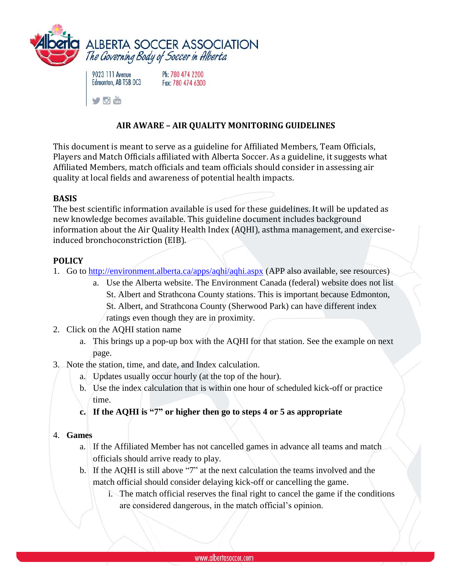



Ph: 780 474 2200 Fax: 780 474 6300

# **AIR AWARE – AIR QUALITY MONITORING GUIDELINES**

This document is meant to serve as a guideline for Affiliated Members, Team Officials, Players and Match Officials affiliated with Alberta Soccer. As a guideline, it suggests what Affiliated Members, match officials and team officials should consider in assessing air quality at local fields and awareness of potential health impacts.

### **BASIS**

The best scientific information available is used for these guidelines. It will be updated as new knowledge becomes available. This guideline document includes background information about the Air Quality Health Index (AQHI), asthma management, and exerciseinduced bronchoconstriction (EIB).

### **POLICY**

- 1. Go to<http://environment.alberta.ca/apps/aqhi/aqhi.aspx> (APP also available, see resources)
	- a. Use the Alberta website. The Environment Canada (federal) website does not list St. Albert and Strathcona County stations. This is important because Edmonton, St. Albert, and Strathcona County (Sherwood Park) can have different index ratings even though they are in proximity.
- 2. Click on the AQHI station name
	- a. This brings up a pop-up box with the AQHI for that station. See the example on next page.
- 3. Note the station, time, and date, and Index calculation.
	- a. Updates usually occur hourly (at the top of the hour).
	- b. Use the index calculation that is within one hour of scheduled kick-off or practice time.
	- **c. If the AQHI is "7" or higher then go to steps 4 or 5 as appropriate**

## 4. **Games**

- a. If the Affiliated Member has not cancelled games in advance all teams and match officials should arrive ready to play.
- b. If the AQHI is still above "7" at the next calculation the teams involved and the match official should consider delaying kick-off or cancelling the game.
	- i. The match official reserves the final right to cancel the game if the conditions are considered dangerous, in the match official's opinion.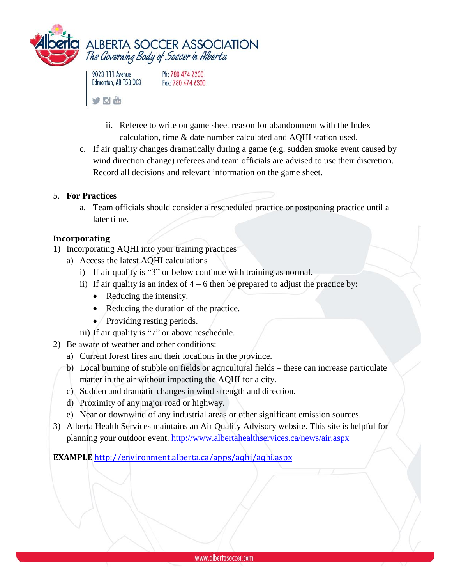



Ph: 780 474 2200 Fax: 780 474 6300

- ii. Referee to write on game sheet reason for abandonment with the Index calculation, time & date number calculated and AQHI station used.
- c. If air quality changes dramatically during a game (e.g. sudden smoke event caused by wind direction change) referees and team officials are advised to use their discretion. Record all decisions and relevant information on the game sheet.

## 5. **For Practices**

a. Team officials should consider a rescheduled practice or postponing practice until a later time.

### **Incorporating**

- 1) Incorporating AQHI into your training practices
	- a) Access the latest AQHI calculations
		- i) If air quality is "3" or below continue with training as normal.
		- ii) If air quality is an index of  $4 6$  then be prepared to adjust the practice by:
			- Reducing the intensity.
			- Reducing the duration of the practice.
			- Providing resting periods.
		- iii) If air quality is "7" or above reschedule.
- 2) Be aware of weather and other conditions:
	- a) Current forest fires and their locations in the province.
	- b) Local burning of stubble on fields or agricultural fields these can increase particulate matter in the air without impacting the AQHI for a city.
	- c) Sudden and dramatic changes in wind strength and direction.
	- d) Proximity of any major road or highway.
	- e) Near or downwind of any industrial areas or other significant emission sources.
- 3) Alberta Health Services maintains an Air Quality Advisory website. This site is helpful for planning your outdoor event.<http://www.albertahealthservices.ca/news/air.aspx>

**EXAMPLE** <http://environment.alberta.ca/apps/aqhi/aqhi.aspx>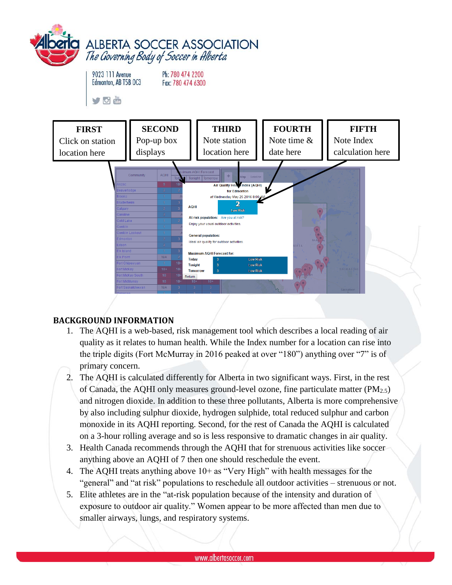

```
9023 111 Avenue
Edmonton, AB T5B OC3
```
Ph: 780 474 2200



Fax: 780 474 6300

Vom







# **BACKGROUND INFORMATION**

- 1. The AQHI is a web-based, risk management tool which describes a local reading of air quality as it relates to human health. While the Index number for a location can rise into the triple digits (Fort McMurray in 2016 peaked at over "180") anything over "7" is of primary concern.
- 2. The AQHI is calculated differently for Alberta in two significant ways. First, in the rest of Canada, the AQHI only measures ground-level ozone, fine particulate matter (PM2.5) and nitrogen dioxide. In addition to these three pollutants, Alberta is more comprehensive by also including sulphur dioxide, hydrogen sulphide, total reduced sulphur and carbon monoxide in its AQHI reporting. Second, for the rest of Canada the AQHI is calculated on a 3-hour rolling average and so is less responsive to dramatic changes in air quality.
- 3. Health Canada recommends through the AQHI that for strenuous activities like soccer anything above an AQHI of 7 then one should reschedule the event.
- 4. The AQHI treats anything above 10+ as "Very High" with health messages for the "general" and "at risk" populations to reschedule all outdoor activities – strenuous or not.
- 5. Elite athletes are in the "at-risk population because of the intensity and duration of exposure to outdoor air quality." Women appear to be more affected than men due to smaller airways, lungs, and respiratory systems.